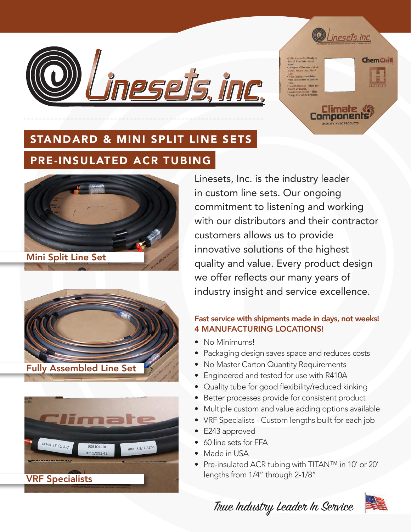



Climate ,



#### STANDARD & MINI SPLIT LINE SETS

### PRE-INSULATED ACR TUBING



Mini Split Line Set





Linesets, Inc. is the industry leader in custom line sets. Our ongoing commitment to listening and working with our distributors and their contractor customers allows us to provide innovative solutions of the highest quality and value. Every product design we offer reflects our many years of industry insight and service excellence.

#### Fast service with shipments made in days, not weeks! 4 MANUFACTURING LOCATIONS!

- No Minimums!
- Packaging design saves space and reduces costs
- No Master Carton Quantity Requirements
- Engineered and tested for use with R410A
- Quality tube for good flexibility/reduced kinking
- Better processes provide for consistent product
- Multiple custom and value adding options available
- VRF Specialists Custom lengths built for each job
- E243 approved
- 60 line sets for FFA
- Made in USA
- Pre-insulated ACR tubing with TITAN™ in 10' or 20' lengths from 1/4" through 2-1/8"

True Industry Leader In Service